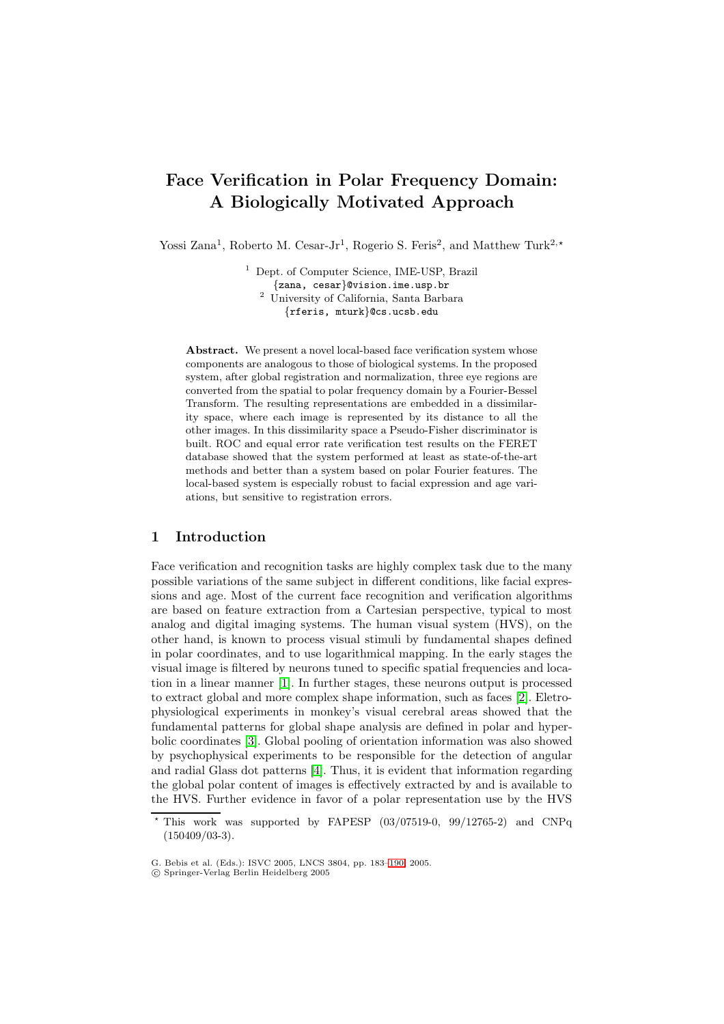# **Face Verification in Polar Frequency Domain: A Biologically Motivated Approach**

Yossi Zana<sup>1</sup>, Roberto M. Cesar-Jr<sup>1</sup>, Rogerio S. Feris<sup>2</sup>, and Matthew Turk<sup>2,\*</sup>

<sup>1</sup> Dept. of Computer Science, IME-USP, Brazil {zana, cesar}@vision.ime.usp.br <sup>2</sup> University of California, Santa Barbara {rferis, mturk}@cs.ucsb.edu

Abstract. We present a novel local-based face verification system whose components are analogous to those of biological systems. In the proposed system, after global registration and normalization, three eye regions are converted from the spatial to polar frequency domain by a Fourier-Bessel Transform. The resulting representations are embedded in a dissimilarity space, where each image is represented by its distance to all the other images. In this dissimilarity space a Pseudo-Fisher discriminator is built. ROC and equal error rate verification test results on the FERET database showed that the system performed at least as state-of-the-art methods and better than a system based on polar Fourier features. The local-based system is especially robust to facial expression and age variations, but sensitive to registration errors.

# **1 Introduction**

Face verification and recognition tasks are highly complex task due to the many possible variations of the same subject in different conditions, like facial expressions and age. Most of the current face recognition and verification algorithms are based on feature extraction from a Cartesian perspective, typical to most analog and digital imaging systems. The human visual system (HVS), on the other hand, is known to process visual stimuli by fundamental shapes defined in polar coordinates, and to use logarithmical mapping. In the early stages the visual image is filtered by neurons tuned to specific spatial frequencies and location in a linear manner [\[1\]](#page-7-0). In further stages, these neurons output is processed to extract global and more complex shape information, such as faces [\[2\]](#page-7-1). Eletrophysiological experiments in monkey's visual cerebral areas showed that the fundamental patterns for global shape analysis are defined in polar and hyperbolic coordinates [\[3\]](#page-7-2). Global pooling of orientation information was also showed by psychophysical experiments to be responsible for the detection of angular and radial Glass dot patterns [\[4\]](#page-7-3). Thus, it is evident that information regarding the global polar content of images is effectively extracted by and is available to the HVS. Further evidence in favor of a polar representation use by the HVS

This work was supported by FAPESP (03/07519-0, 99/12765-2) and CNPq (150409/03-3).

G. Bebis et al. (Eds.): ISVC 2005, LNCS 3804, pp. 183[–190,](#page-7-4) 2005.

c Springer-Verlag Berlin Heidelberg 2005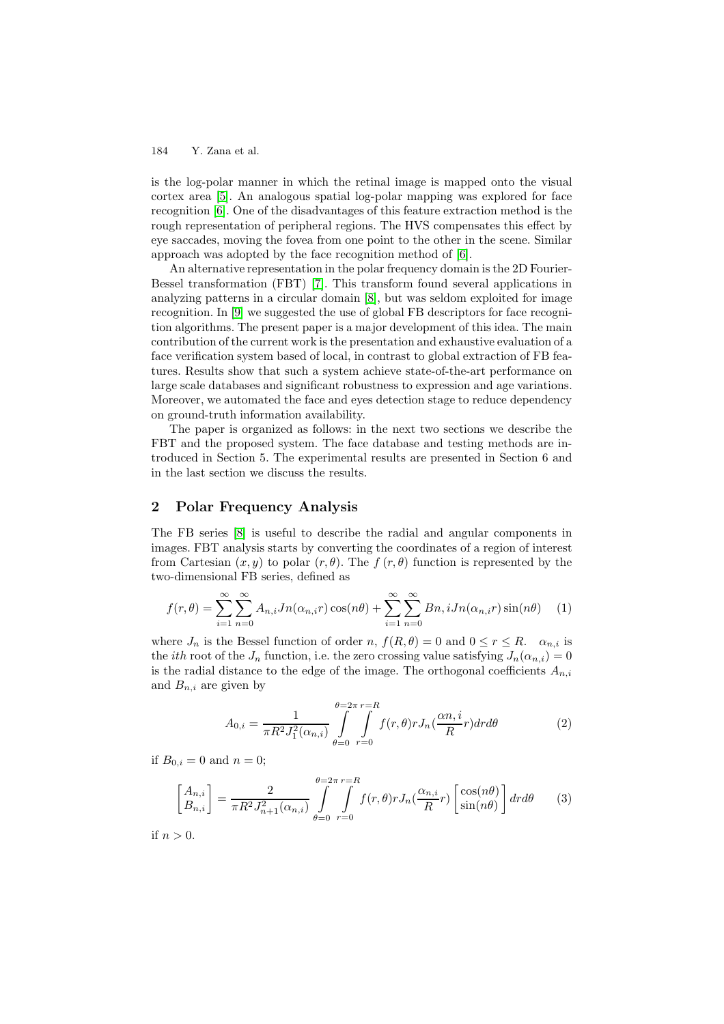is the log-polar manner in which the retinal image is mapped onto the visual cortex area [\[5\]](#page-7-5). An analogous spatial log-polar mapping was explored for face recognition [\[6\]](#page-7-6). One of the disadvantages of this feature extraction method is the rough representation of peripheral regions. The HVS compensates this effect by eye saccades, moving the fovea from one point to the other in the scene. Similar approach was adopted by the face recognition method of [\[6\]](#page-7-6).

An alternative representation in the polar frequency domain is the 2D Fourier-Bessel transformation (FBT) [\[7\]](#page-7-7). This transform found several applications in analyzing patterns in a circular domain [\[8\]](#page-7-8), but was seldom exploited for image recognition. In [\[9\]](#page-7-9) we suggested the use of global FB descriptors for face recognition algorithms. The present paper is a major development of this idea. The main contribution of the current work is the presentation and exhaustive evaluation of a face verification system based of local, in contrast to global extraction of FB features. Results show that such a system achieve state-of-the-art performance on large scale databases and significant robustness to expression and age variations. Moreover, we automated the face and eyes detection stage to reduce dependency on ground-truth information availability.

The paper is organized as follows: in the next two sections we describe the FBT and the proposed system. The face database and testing methods are introduced in Section 5. The experimental results are presented in Section 6 and in the last section we discuss the results.

# **2 Polar Frequency Analysis**

The FB series [\[8\]](#page-7-8) is useful to describe the radial and angular components in images. FBT analysis starts by converting the coordinates of a region of interest from Cartesian  $(x, y)$  to polar  $(r, \theta)$ . The f  $(r, \theta)$  function is represented by the two-dimensional FB series, defined as

$$
f(r,\theta) = \sum_{i=1}^{\infty} \sum_{n=0}^{\infty} A_{n,i} J n(\alpha_{n,i} r) \cos(n\theta) + \sum_{i=1}^{\infty} \sum_{n=0}^{\infty} B n, i J n(\alpha_{n,i} r) \sin(n\theta)
$$
 (1)

<span id="page-1-0"></span>where  $J_n$  is the Bessel function of order n,  $f(R,\theta) = 0$  and  $0 \le r \le R$ .  $\alpha_{n,i}$  is the *ith* root of the  $J_n$  function, i.e. the zero crossing value satisfying  $J_n(\alpha_{n,i})=0$ is the radial distance to the edge of the image. The orthogonal coefficients  $A_{n,i}$ and  $B_{n,i}$  are given by

$$
A_{0,i} = \frac{1}{\pi R^2 J_1^2(\alpha_{n,i})} \int\limits_{\theta=0}^{\theta=2\pi} \int\limits_{r=0}^{r=R} f(r,\theta) r J_n(\frac{\alpha n, i}{R}r) dr d\theta \tag{2}
$$

if  $B_{0,i} = 0$  and  $n = 0$ ;

$$
\begin{bmatrix} A_{n,i} \\ B_{n,i} \end{bmatrix} = \frac{2}{\pi R^2 J_{n+1}^2(\alpha_{n,i})} \int_{\theta=0}^{\theta=2\pi} \int_{r=0}^{r=R} f(r,\theta) r J_n(\frac{\alpha_{n,i}}{R}r) \begin{bmatrix} \cos(n\theta) \\ \sin(n\theta) \end{bmatrix} dr d\theta \qquad (3)
$$

if  $n > 0$ .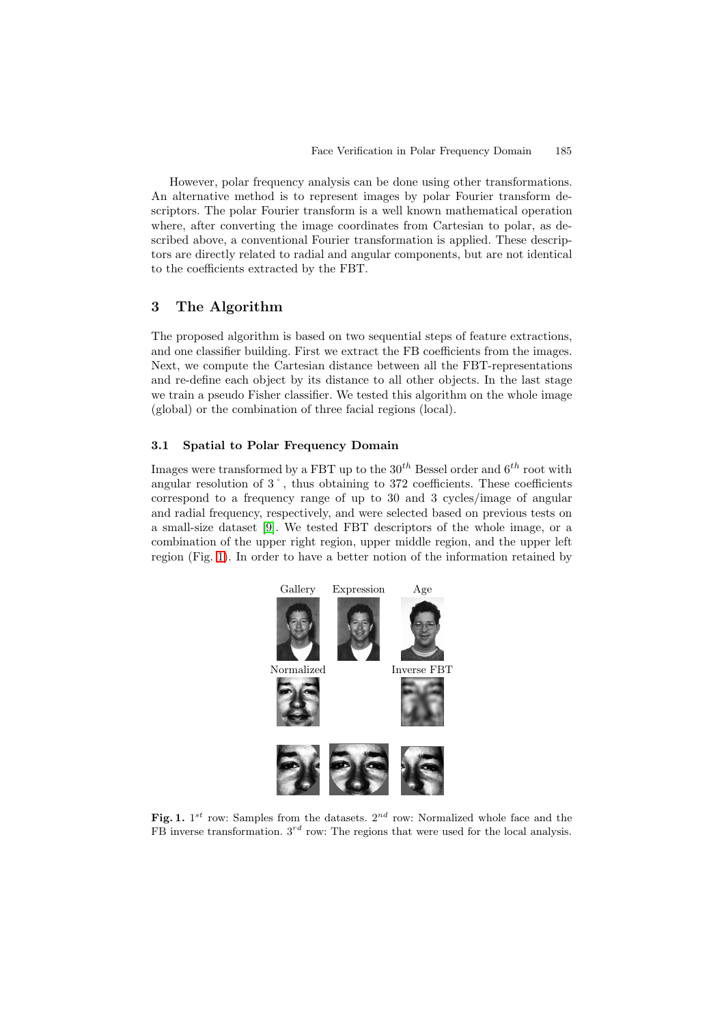However, polar frequency analysis can be done using other transformations. An alternative method is to represent images by polar Fourier transform descriptors. The polar Fourier transform is a well known mathematical operation where, after converting the image coordinates from Cartesian to polar, as described above, a conventional Fourier transformation is applied. These descriptors are directly related to radial and angular components, but are not identical to the coefficients extracted by the FBT.

# **3 The Algorithm**

The proposed algorithm is based on two sequential steps of feature extractions, and one classifier building. First we extract the FB coefficients from the images. Next, we compute the Cartesian distance between all the FBT-representations and re-define each object by its distance to all other objects. In the last stage we train a pseudo Fisher classifier. We tested this algorithm on the whole image (global) or the combination of three facial regions (local).

## **3.1 Spatial to Polar Frequency Domain**

Images were transformed by a FBT up to the  $30<sup>th</sup>$  Bessel order and  $6<sup>th</sup>$  root with angular resolution of 3˚, thus obtaining to 372 coefficients. These coefficients correspond to a frequency range of up to 30 and 3 cycles/image of angular and radial frequency, respectively, and were selected based on previous tests on a small-size dataset [\[9\]](#page-7-9). We tested FBT descriptors of the whole image, or a combination of the upper right region, upper middle region, and the upper left region (Fig. [1\)](#page-2-0). In order to have a better notion of the information retained by



<span id="page-2-0"></span>**Fig. 1.**  $1^{st}$  row: Samples from the datasets.  $2^{nd}$  row: Normalized whole face and the  $\overrightarrow{FB}$  inverse transformation.  $3^{rd}$  row: The regions that were used for the local analysis.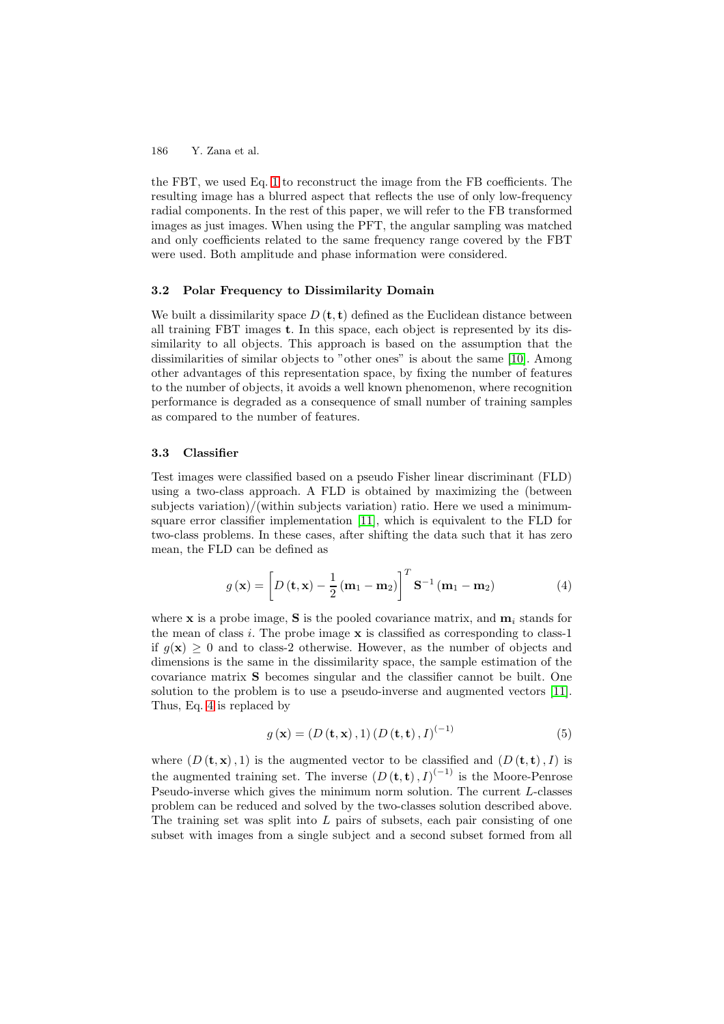the FBT, we used Eq. [1](#page-1-0) to reconstruct the image from the FB coefficients. The resulting image has a blurred aspect that reflects the use of only low-frequency radial components. In the rest of this paper, we will refer to the FB transformed images as just images. When using the PFT, the angular sampling was matched and only coefficients related to the same frequency range covered by the FBT were used. Both amplitude and phase information were considered.

## **3.2 Polar Frequency to Dissimilarity Domain**

We built a dissimilarity space  $D(\mathbf{t}, \mathbf{t})$  defined as the Euclidean distance between all training FBT images **t**. In this space, each object is represented by its dissimilarity to all objects. This approach is based on the assumption that the dissimilarities of similar objects to "other ones" is about the same [\[10\]](#page-7-10). Among other advantages of this representation space, by fixing the number of features to the number of objects, it avoids a well known phenomenon, where recognition performance is degraded as a consequence of small number of training samples as compared to the number of features.

#### **3.3 Classifier**

Test images were classified based on a pseudo Fisher linear discriminant (FLD) using a two-class approach. A FLD is obtained by maximizing the (between subjects variation)/(within subjects variation) ratio. Here we used a minimumsquare error classifier implementation [\[11\]](#page-7-11), which is equivalent to the FLD for two-class problems. In these cases, after shifting the data such that it has zero mean, the FLD can be defined as

$$
g\left(\mathbf{x}\right) = \left[D\left(\mathbf{t}, \mathbf{x}\right) - \frac{1}{2}\left(\mathbf{m}_1 - \mathbf{m}_2\right)\right]^T \mathbf{S}^{-1}\left(\mathbf{m}_1 - \mathbf{m}_2\right) \tag{4}
$$

<span id="page-3-0"></span>where **x** is a probe image, **S** is the pooled covariance matrix, and  $\mathbf{m}_i$  stands for the mean of class i. The probe image **x** is classified as corresponding to class-1 if  $q(\mathbf{x}) > 0$  and to class-2 otherwise. However, as the number of objects and dimensions is the same in the dissimilarity space, the sample estimation of the covariance matrix **S** becomes singular and the classifier cannot be built. One solution to the problem is to use a pseudo-inverse and augmented vectors [\[11\]](#page-7-11). Thus, Eq. [4](#page-3-0) is replaced by

$$
g(\mathbf{x}) = (D(\mathbf{t}, \mathbf{x}), 1) (D(\mathbf{t}, \mathbf{t}), I)^{(-1)}
$$
(5)

where  $(D(\mathbf{t}, \mathbf{x}), 1)$  is the augmented vector to be classified and  $(D(\mathbf{t}, \mathbf{t}), I)$  is the augmented training set. The inverse  $(D(\mathbf{t}, \mathbf{t}), I)^{(-1)}$  is the Moore-Penrose Pseudo-inverse which gives the minimum norm solution. The current L-classes problem can be reduced and solved by the two-classes solution described above. The training set was split into  $L$  pairs of subsets, each pair consisting of one subset with images from a single subject and a second subset formed from all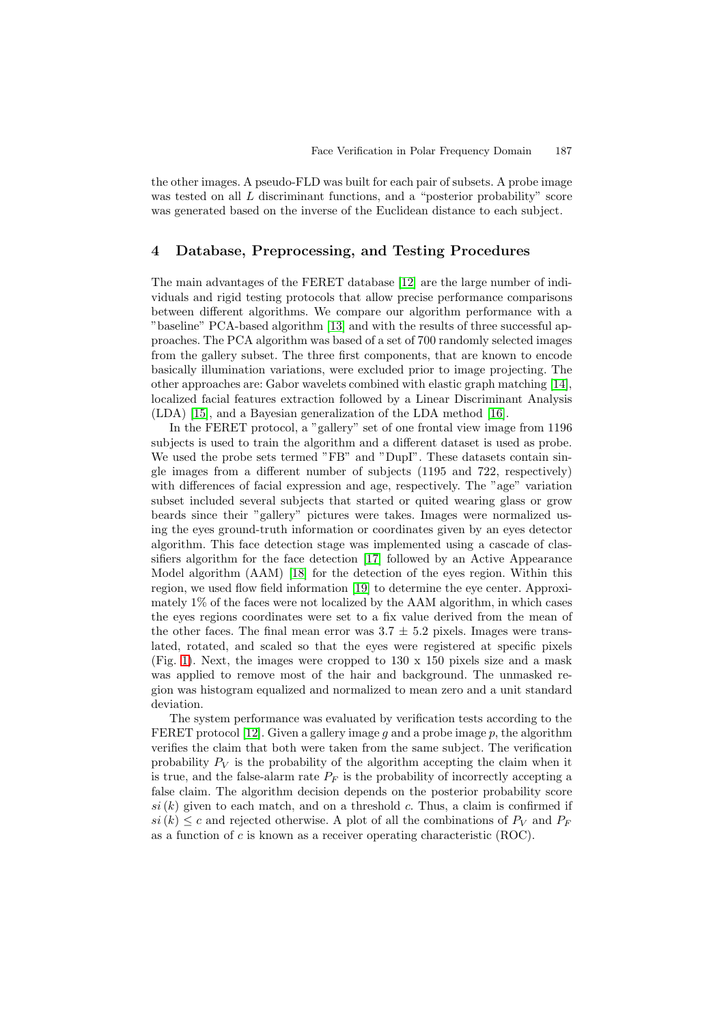the other images. A pseudo-FLD was built for each pair of subsets. A probe image was tested on all L discriminant functions, and a "posterior probability" score was generated based on the inverse of the Euclidean distance to each subject.

# **4 Database, Preprocessing, and Testing Procedures**

The main advantages of the FERET database [\[12\]](#page-7-12) are the large number of individuals and rigid testing protocols that allow precise performance comparisons between different algorithms. We compare our algorithm performance with a "baseline" PCA-based algorithm [\[13\]](#page-7-13) and with the results of three successful approaches. The PCA algorithm was based of a set of 700 randomly selected images from the gallery subset. The three first components, that are known to encode basically illumination variations, were excluded prior to image projecting. The other approaches are: Gabor wavelets combined with elastic graph matching [\[14\]](#page-7-14), localized facial features extraction followed by a Linear Discriminant Analysis (LDA) [\[15\]](#page-7-15), and a Bayesian generalization of the LDA method [\[16\]](#page-7-16).

In the FERET protocol, a "gallery" set of one frontal view image from 1196 subjects is used to train the algorithm and a different dataset is used as probe. We used the probe sets termed "FB" and "DupI". These datasets contain single images from a different number of subjects (1195 and 722, respectively) with differences of facial expression and age, respectively. The "age" variation subset included several subjects that started or quited wearing glass or grow beards since their "gallery" pictures were takes. Images were normalized using the eyes ground-truth information or coordinates given by an eyes detector algorithm. This face detection stage was implemented using a cascade of classifiers algorithm for the face detection [\[17\]](#page-7-17) followed by an Active Appearance Model algorithm (AAM) [\[18\]](#page-7-18) for the detection of the eyes region. Within this region, we used flow field information [\[19\]](#page-7-19) to determine the eye center. Approximately 1% of the faces were not localized by the AAM algorithm, in which cases the eyes regions coordinates were set to a fix value derived from the mean of the other faces. The final mean error was  $3.7 \pm 5.2$  pixels. Images were translated, rotated, and scaled so that the eyes were registered at specific pixels (Fig. [1\)](#page-2-0). Next, the images were cropped to  $130 \times 150$  pixels size and a mask was applied to remove most of the hair and background. The unmasked region was histogram equalized and normalized to mean zero and a unit standard deviation.

The system performance was evaluated by verification tests according to the FERET protocol [\[12\]](#page-7-12). Given a gallery image q and a probe image  $p$ , the algorithm verifies the claim that both were taken from the same subject. The verification probability  $P_V$  is the probability of the algorithm accepting the claim when it is true, and the false-alarm rate  $P_F$  is the probability of incorrectly accepting a false claim. The algorithm decision depends on the posterior probability score  $si(k)$  given to each match, and on a threshold c. Thus, a claim is confirmed if  $si(k) \leq c$  and rejected otherwise. A plot of all the combinations of  $P_V$  and  $P_F$ as a function of c is known as a receiver operating characteristic (ROC).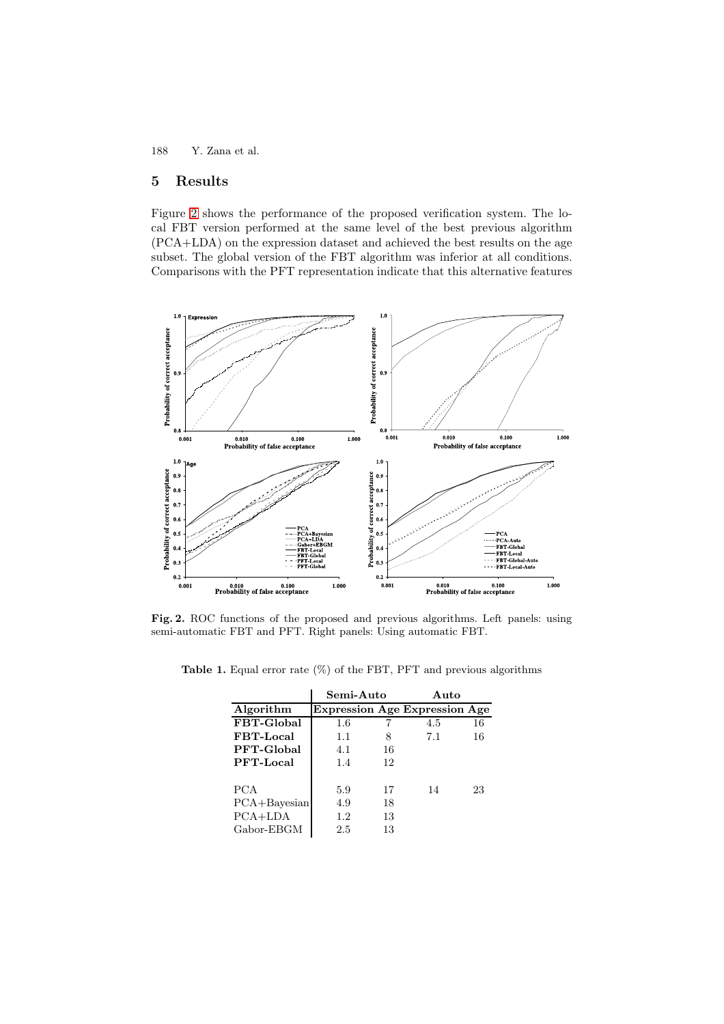# **5 Results**

Figure [2](#page-5-0) shows the performance of the proposed verification system. The local FBT version performed at the same level of the best previous algorithm (PCA+LDA) on the expression dataset and achieved the best results on the age subset. The global version of the FBT algorithm was inferior at all conditions. Comparisons with the PFT representation indicate that this alternative features



<span id="page-5-0"></span>**Fig. 2.** ROC functions of the proposed and previous algorithms. Left panels: using semi-automatic FBT and PFT. Right panels: Using automatic FBT.

|                  | Semi-Auto |    | Auto                          |    |
|------------------|-----------|----|-------------------------------|----|
| Algorithm        |           |    | Expression Age Expression Age |    |
| FBT-Global       | 1.6       |    | 4.5                           | 16 |
| FBT-Local        | 1.1       | 8  | 7.1                           | 16 |
| PFT-Global       | 4.1       | 16 |                               |    |
| PFT-Local        | 1.4       | 12 |                               |    |
| <b>PCA</b>       | 5.9       | 17 | 14                            | 23 |
| $PCA + Bayesian$ | 4.9       | 18 |                               |    |
| $PCA+LDA$        | 1.2       | 13 |                               |    |
| Gabor-EBGM       | 2.5       | 13 |                               |    |

<span id="page-5-1"></span>**Table 1.** Equal error rate (%) of the FBT, PFT and previous algorithms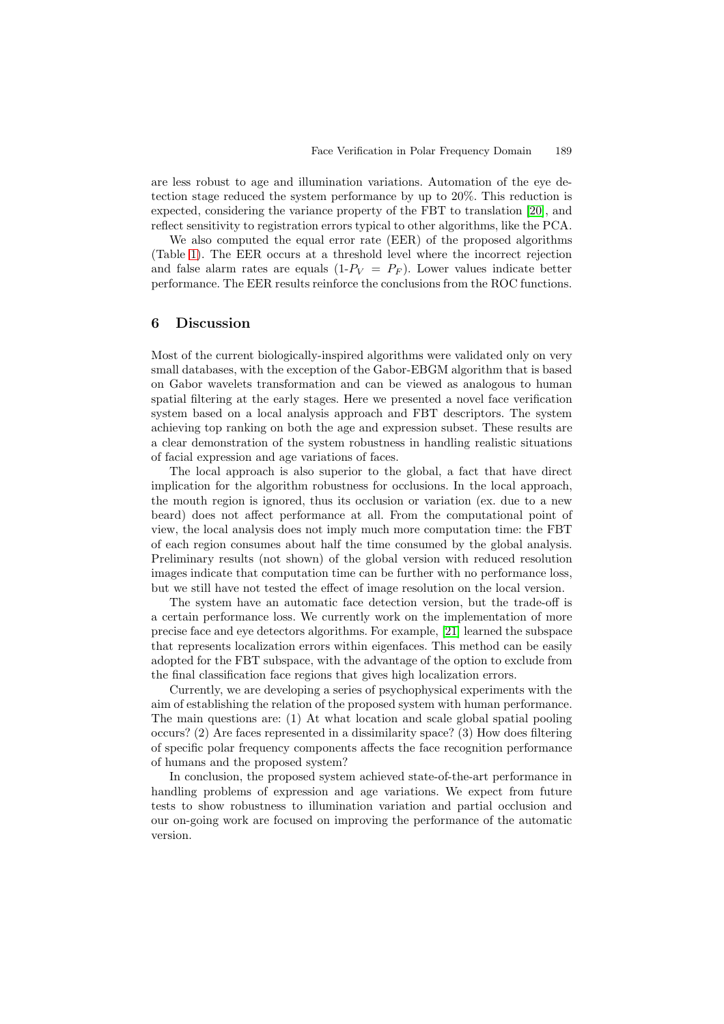are less robust to age and illumination variations. Automation of the eye detection stage reduced the system performance by up to 20%. This reduction is expected, considering the variance property of the FBT to translation [\[20\]](#page-7-20), and reflect sensitivity to registration errors typical to other algorithms, like the PCA.

We also computed the equal error rate (EER) of the proposed algorithms (Table [1\)](#page-5-1). The EER occurs at a threshold level where the incorrect rejection and false alarm rates are equals  $(1-P_V = P_F)$ . Lower values indicate better performance. The EER results reinforce the conclusions from the ROC functions.

### **6 Discussion**

Most of the current biologically-inspired algorithms were validated only on very small databases, with the exception of the Gabor-EBGM algorithm that is based on Gabor wavelets transformation and can be viewed as analogous to human spatial filtering at the early stages. Here we presented a novel face verification system based on a local analysis approach and FBT descriptors. The system achieving top ranking on both the age and expression subset. These results are a clear demonstration of the system robustness in handling realistic situations of facial expression and age variations of faces.

The local approach is also superior to the global, a fact that have direct implication for the algorithm robustness for occlusions. In the local approach, the mouth region is ignored, thus its occlusion or variation (ex. due to a new beard) does not affect performance at all. From the computational point of view, the local analysis does not imply much more computation time: the FBT of each region consumes about half the time consumed by the global analysis. Preliminary results (not shown) of the global version with reduced resolution images indicate that computation time can be further with no performance loss, but we still have not tested the effect of image resolution on the local version.

The system have an automatic face detection version, but the trade-off is a certain performance loss. We currently work on the implementation of more precise face and eye detectors algorithms. For example, [\[21\]](#page-7-21) learned the subspace that represents localization errors within eigenfaces. This method can be easily adopted for the FBT subspace, with the advantage of the option to exclude from the final classification face regions that gives high localization errors.

Currently, we are developing a series of psychophysical experiments with the aim of establishing the relation of the proposed system with human performance. The main questions are: (1) At what location and scale global spatial pooling occurs? (2) Are faces represented in a dissimilarity space? (3) How does filtering of specific polar frequency components affects the face recognition performance of humans and the proposed system?

In conclusion, the proposed system achieved state-of-the-art performance in handling problems of expression and age variations. We expect from future tests to show robustness to illumination variation and partial occlusion and our on-going work are focused on improving the performance of the automatic version.